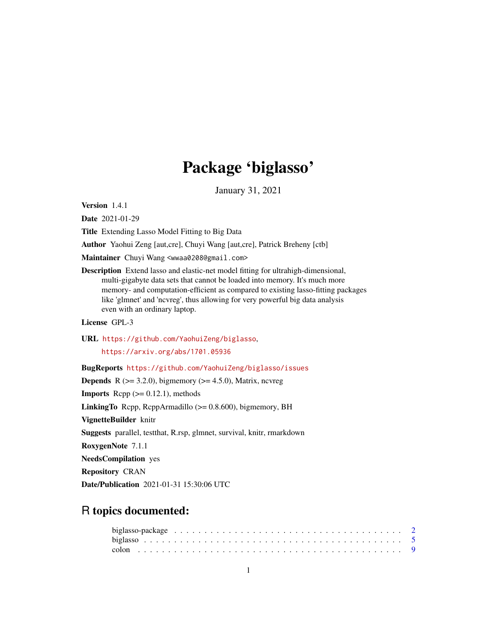# Package 'biglasso'

January 31, 2021

<span id="page-0-0"></span>Version 1.4.1

Date 2021-01-29

Title Extending Lasso Model Fitting to Big Data

Author Yaohui Zeng [aut,cre], Chuyi Wang [aut,cre], Patrick Breheny [ctb]

Maintainer Chuyi Wang <wwaa0208@gmail.com>

Description Extend lasso and elastic-net model fitting for ultrahigh-dimensional, multi-gigabyte data sets that cannot be loaded into memory. It's much more memory- and computation-efficient as compared to existing lasso-fitting packages like 'glmnet' and 'ncvreg', thus allowing for very powerful big data analysis even with an ordinary laptop.

License GPL-3

URL <https://github.com/YaohuiZeng/biglasso>,

<https://arxiv.org/abs/1701.05936>

BugReports <https://github.com/YaohuiZeng/biglasso/issues>

**Depends** R ( $>= 3.2.0$ ), bigmemory ( $>= 4.5.0$ ), Matrix, ncvreg

**Imports** Rcpp  $(>= 0.12.1)$ , methods

**LinkingTo** Rcpp, RcppArmadillo  $(>= 0.8.600)$ , bigmemory, BH

VignetteBuilder knitr

Suggests parallel, testthat, R.rsp, glmnet, survival, knitr, rmarkdown

RoxygenNote 7.1.1

NeedsCompilation yes

Repository CRAN

Date/Publication 2021-01-31 15:30:06 UTC

# R topics documented: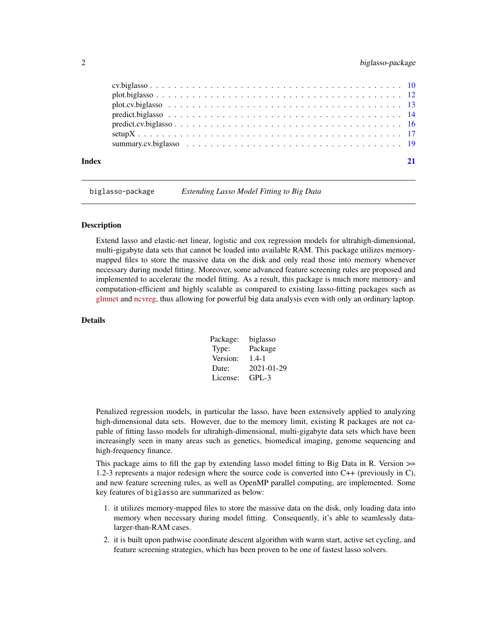# <span id="page-1-0"></span>2 biglasso-package

<span id="page-1-1"></span>biglasso-package *Extending Lasso Model Fitting to Big Data*

#### **Description**

Extend lasso and elastic-net linear, logistic and cox regression models for ultrahigh-dimensional, multi-gigabyte data sets that cannot be loaded into available RAM. This package utilizes memorymapped files to store the massive data on the disk and only read those into memory whenever necessary during model fitting. Moreover, some advanced feature screening rules are proposed and implemented to accelerate the model fitting. As a result, this package is much more memory- and computation-efficient and highly scalable as compared to existing lasso-fitting packages such as [glmnet](https://CRAN.R-project.org/package=glmnet) and [ncvreg,](https://CRAN.R-project.org/package=ncvreg) thus allowing for powerful big data analysis even with only an ordinary laptop.

#### Details

| Package: | biglasso   |
|----------|------------|
| Type:    | Package    |
| Version: | $1.4 - 1$  |
| Date:    | 2021-01-29 |
| License: | $GPL-3$    |

Penalized regression models, in particular the lasso, have been extensively applied to analyzing high-dimensional data sets. However, due to the memory limit, existing R packages are not capable of fitting lasso models for ultrahigh-dimensional, multi-gigabyte data sets which have been increasingly seen in many areas such as genetics, biomedical imaging, genome sequencing and high-frequency finance.

This package aims to fill the gap by extending lasso model fitting to Big Data in R. Version  $\ge$ 1.2-3 represents a major redesign where the source code is converted into C++ (previously in C), and new feature screening rules, as well as OpenMP parallel computing, are implemented. Some key features of biglasso are summarized as below:

- 1. it utilizes memory-mapped files to store the massive data on the disk, only loading data into memory when necessary during model fitting. Consequently, it's able to seamlessly datalarger-than-RAM cases.
- 2. it is built upon pathwise coordinate descent algorithm with warm start, active set cycling, and feature screening strategies, which has been proven to be one of fastest lasso solvers.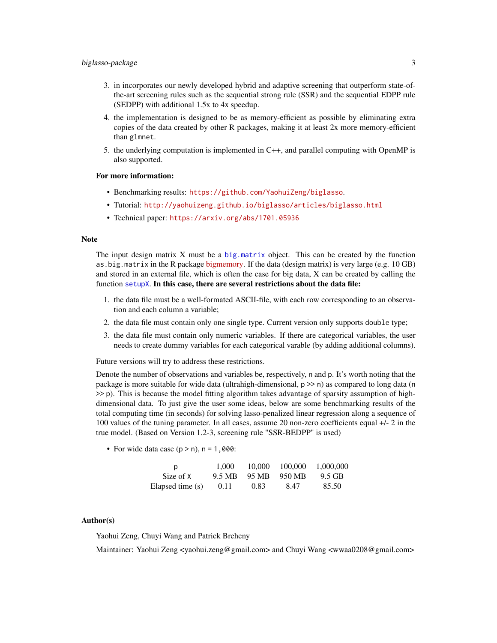- <span id="page-2-0"></span>3. in incorporates our newly developed hybrid and adaptive screening that outperform state-ofthe-art screening rules such as the sequential strong rule (SSR) and the sequential EDPP rule (SEDPP) with additional 1.5x to 4x speedup.
- 4. the implementation is designed to be as memory-efficient as possible by eliminating extra copies of the data created by other R packages, making it at least 2x more memory-efficient than glmnet.
- 5. the underlying computation is implemented in C++, and parallel computing with OpenMP is also supported.

#### For more information:

- Benchmarking results: <https://github.com/YaohuiZeng/biglasso>.
- Tutorial: <http://yaohuizeng.github.io/biglasso/articles/biglasso.html>
- Technical paper: <https://arxiv.org/abs/1701.05936>

#### Note

The input design matrix  $X$  must be a [big.matrix](#page-0-0) object. This can be created by the function as.big.matrix in the R package [bigmemory.](https://CRAN.R-project.org//package=bigmemory) If the data (design matrix) is very large (e.g. 10 GB) and stored in an external file, which is often the case for big data, X can be created by calling the function [setupX](#page-16-1). In this case, there are several restrictions about the data file:

- 1. the data file must be a well-formated ASCII-file, with each row corresponding to an observation and each column a variable;
- 2. the data file must contain only one single type. Current version only supports double type;
- 3. the data file must contain only numeric variables. If there are categorical variables, the user needs to create dummy variables for each categorical varable (by adding additional columns).

Future versions will try to address these restrictions.

Denote the number of observations and variables be, respectively, n and p. It's worth noting that the package is more suitable for wide data (ultrahigh-dimensional,  $p \gg n$ ) as compared to long data (n >> p). This is because the model fitting algorithm takes advantage of sparsity assumption of highdimensional data. To just give the user some ideas, below are some benchmarking results of the total computing time (in seconds) for solving lasso-penalized linear regression along a sequence of 100 values of the tuning parameter. In all cases, assume 20 non-zero coefficients equal +/- 2 in the true model. (Based on Version 1.2-3, screening rule "SSR-BEDPP" is used)

• For wide data case  $(p > n)$ ,  $n = 1,000$ :

| D                | 1.000  | 10,000 | 100,000 | 1.000.000 |
|------------------|--------|--------|---------|-----------|
| Size of X        | 9.5 MB | 95 MB  | 950 MB  | 9.5 GB    |
| Elapsed time (s) | 0.11   | 0.83   | 8.47    | 85.50     |

#### Author(s)

Yaohui Zeng, Chuyi Wang and Patrick Breheny

Maintainer: Yaohui Zeng <yaohui.zeng@gmail.com> and Chuyi Wang <wwaa0208@gmail.com>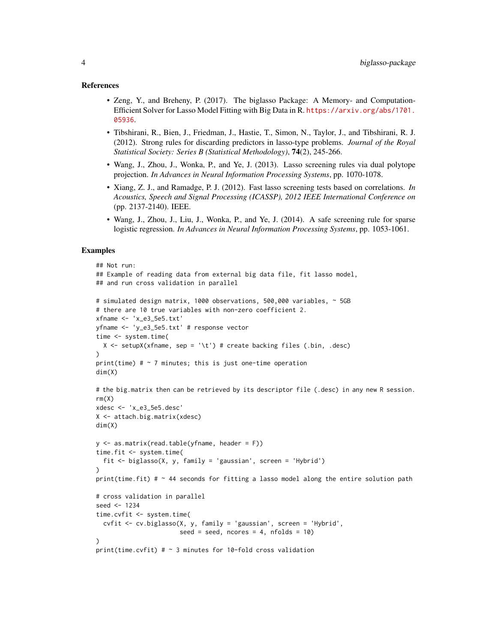#### References

- Zeng, Y., and Breheny, P. (2017). The biglasso Package: A Memory- and Computation-Efficient Solver for Lasso Model Fitting with Big Data in R. [https://arxiv.org/abs/1701.](https://arxiv.org/abs/1701.05936) [05936](https://arxiv.org/abs/1701.05936).
- Tibshirani, R., Bien, J., Friedman, J., Hastie, T., Simon, N., Taylor, J., and Tibshirani, R. J. (2012). Strong rules for discarding predictors in lasso-type problems. *Journal of the Royal Statistical Society: Series B (Statistical Methodology)*, 74(2), 245-266.
- Wang, J., Zhou, J., Wonka, P., and Ye, J. (2013). Lasso screening rules via dual polytope projection. *In Advances in Neural Information Processing Systems*, pp. 1070-1078.
- Xiang, Z. J., and Ramadge, P. J. (2012). Fast lasso screening tests based on correlations. *In Acoustics, Speech and Signal Processing (ICASSP), 2012 IEEE International Conference on* (pp. 2137-2140). IEEE.
- Wang, J., Zhou, J., Liu, J., Wonka, P., and Ye, J. (2014). A safe screening rule for sparse logistic regression. *In Advances in Neural Information Processing Systems*, pp. 1053-1061.

#### Examples

```
## Not run:
## Example of reading data from external big data file, fit lasso model,
## and run cross validation in parallel
# simulated design matrix, 1000 observations, 500,000 variables, ~ 5GB
# there are 10 true variables with non-zero coefficient 2.
xfname <- 'x_e3_5e5.txt'
yfname <- 'y_e3_5e5.txt' # response vector
time <- system.time(
  X \leq setupX(xfname, sep = '\t') # create backing files (.bin, .desc)
\lambdaprint(time) # \sim 7 minutes; this is just one-time operation
dim(X)
# the big.matrix then can be retrieved by its descriptor file (.desc) in any new R session.
rm(X)xdesc <- 'x_e3_5e5.desc'
X <- attach.big.matrix(xdesc)
dim(X)
y \le - as.matrix(read.table(yfname, header = F))
time.fit <- system.time(
  fit <- biglasso(X, y, family = 'gaussian', screen = 'Hybrid')
\lambdaprint(time.fit) # \sim 44 seconds for fitting a lasso model along the entire solution path
# cross validation in parallel
seed <- 1234
time.cvfit <- system.time(
  cvfit <- cv.biglasso(X, y, family = 'gaussian', screen = 'Hybrid',
                        seed = seed, ncores = 4, nfolds = 10)
\lambdaprint(time.cvfit) # \sim 3 minutes for 10-fold cross validation
```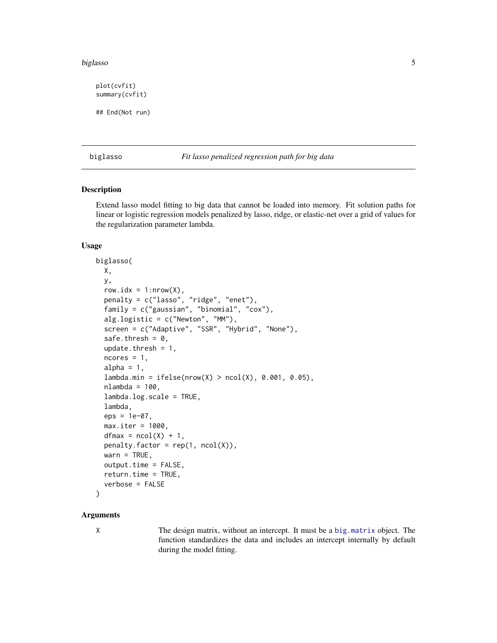#### <span id="page-4-0"></span>biglasso 500 to 100 minutes and 200 minutes and 200 minutes and 200 minutes and 200 minutes and 200 minutes and 200 minutes and 200 minutes and 200 minutes and 200 minutes and 200 minutes and 200 minutes and 200 minutes an

plot(cvfit) summary(cvfit) ## End(Not run)

<span id="page-4-1"></span>biglasso *Fit lasso penalized regression path for big data*

#### Description

Extend lasso model fitting to big data that cannot be loaded into memory. Fit solution paths for linear or logistic regression models penalized by lasso, ridge, or elastic-net over a grid of values for the regularization parameter lambda.

#### Usage

```
biglasso(
 X,
 y,
  row.idx = 1: nrow(X),
  penalty = c("lasso", "ridge", "enet"),
  family = c("gaussian", "binomial", "cox"),
  alg.logistic = c("Newton", "MM"),
  screen = c("Adaptive", "SSR", "Hybrid", "None"),
  safe.thresh = 0,
  update.thresh = 1,
  ncores = 1,
  alpha = 1,
  lambda.min = ifelse(nrow(X) > ncol(X), 0.001, 0.05),
  nlambda = 100,
  lambda.log.scale = TRUE,
  lambda,
  eps = 1e-07,
  max.iter = 1000,dfmax = ncol(X) + 1,
  penalty.factor = rep(1, ncol(X)),wan = TRUE,output.time = FALSE,
  return.time = TRUE,
  verbose = FALSE
```
# )

# **Arguments**

X The design matrix, without an intercept. It must be a [big.matrix](#page-0-0) object. The function standardizes the data and includes an intercept internally by default during the model fitting.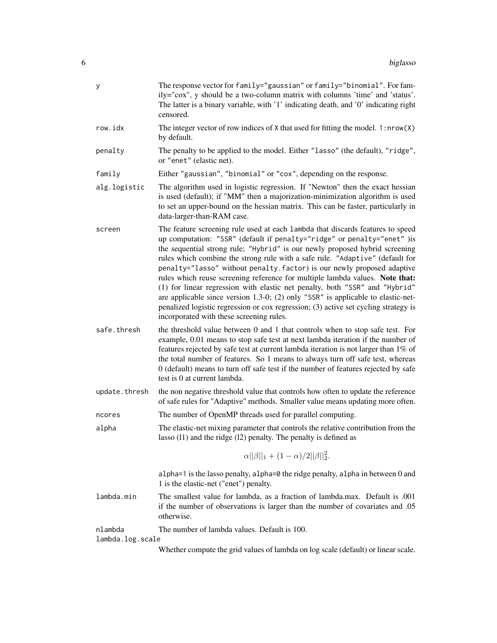| у                           | The response vector for family="gaussian" or family="binomial". For fam-<br>ily="cox", y should be a two-column matrix with columns 'time' and 'status'.<br>The latter is a binary variable, with '1' indicating death, and '0' indicating right<br>censored.                                                                                                                                                                                                                                                                                                                                                                                                                                                                                                                               |
|-----------------------------|---------------------------------------------------------------------------------------------------------------------------------------------------------------------------------------------------------------------------------------------------------------------------------------------------------------------------------------------------------------------------------------------------------------------------------------------------------------------------------------------------------------------------------------------------------------------------------------------------------------------------------------------------------------------------------------------------------------------------------------------------------------------------------------------|
| row.idx                     | The integer vector of row indices of $X$ that used for fitting the model. 1: $nrow(X)$<br>by default.                                                                                                                                                                                                                                                                                                                                                                                                                                                                                                                                                                                                                                                                                       |
| penalty                     | The penalty to be applied to the model. Either "lasso" (the default), "ridge",<br>or "enet" (elastic net).                                                                                                                                                                                                                                                                                                                                                                                                                                                                                                                                                                                                                                                                                  |
| family                      | Either "gaussian", "binomial" or "cox", depending on the response.                                                                                                                                                                                                                                                                                                                                                                                                                                                                                                                                                                                                                                                                                                                          |
| alg.logistic                | The algorithm used in logistic regression. If "Newton" then the exact hessian<br>is used (default); if "MM" then a majorization-minimization algorithm is used<br>to set an upper-bound on the hessian matrix. This can be faster, particularly in<br>data-larger-than-RAM case.                                                                                                                                                                                                                                                                                                                                                                                                                                                                                                            |
| screen                      | The feature screening rule used at each lambda that discards features to speed<br>up computation: "SSR" (default if penalty="ridge" or penalty="enet" ) is<br>the sequential strong rule; "Hybrid" is our newly proposed hybrid screening<br>rules which combine the strong rule with a safe rule. "Adaptive" (default for<br>penalty="lasso" without penalty. factor) is our newly proposed adaptive<br>rules which reuse screening reference for multiple lambda values. Note that:<br>(1) for linear regression with elastic net penalty, both "SSR" and "Hybrid"<br>are applicable since version 1.3-0; (2) only "SSR" is applicable to elastic-net-<br>penalized logistic regression or cox regression; (3) active set cycling strategy is<br>incorporated with these screening rules. |
| safe.thresh                 | the threshold value between 0 and 1 that controls when to stop safe test. For<br>example, 0.01 means to stop safe test at next lambda iteration if the number of<br>features rejected by safe test at current lambda iteration is not larger than 1% of<br>the total number of features. So 1 means to always turn off safe test, whereas<br>0 (default) means to turn off safe test if the number of features rejected by safe<br>test is 0 at current lambda.                                                                                                                                                                                                                                                                                                                             |
| update.thresh               | the non negative threshold value that controls how often to update the reference<br>of safe rules for "Adaptive" methods. Smaller value means updating more often.                                                                                                                                                                                                                                                                                                                                                                                                                                                                                                                                                                                                                          |
| ncores                      | The number of OpenMP threads used for parallel computing.                                                                                                                                                                                                                                                                                                                                                                                                                                                                                                                                                                                                                                                                                                                                   |
| alpha                       | The elastic-net mixing parameter that controls the relative contribution from the<br>lasso (11) and the ridge (12) penalty. The penalty is defined as                                                                                                                                                                                                                                                                                                                                                                                                                                                                                                                                                                                                                                       |
|                             | $\alpha  \beta  _1 + (1-\alpha)/2  \beta  _2^2$ .                                                                                                                                                                                                                                                                                                                                                                                                                                                                                                                                                                                                                                                                                                                                           |
|                             | alpha=1 is the lasso penalty, alpha=0 the ridge penalty, alpha in between 0 and<br>1 is the elastic-net ("enet") penalty.                                                                                                                                                                                                                                                                                                                                                                                                                                                                                                                                                                                                                                                                   |
| lambda.min                  | The smallest value for lambda, as a fraction of lambda.max. Default is .001<br>if the number of observations is larger than the number of covariates and .05<br>otherwise.                                                                                                                                                                                                                                                                                                                                                                                                                                                                                                                                                                                                                  |
| nlambda<br>lambda.log.scale | The number of lambda values. Default is 100.                                                                                                                                                                                                                                                                                                                                                                                                                                                                                                                                                                                                                                                                                                                                                |
|                             | Whether compute the grid values of lambda on log scale (default) or linear scale.                                                                                                                                                                                                                                                                                                                                                                                                                                                                                                                                                                                                                                                                                                           |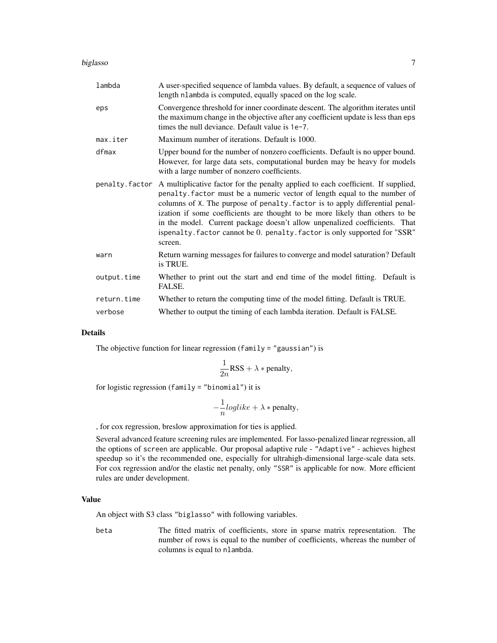#### biglasso 7

| lambda         | A user-specified sequence of lambda values. By default, a sequence of values of<br>length nlambda is computed, equally spaced on the log scale.                                                                                                                                                                                                                                                                                                                                                       |
|----------------|-------------------------------------------------------------------------------------------------------------------------------------------------------------------------------------------------------------------------------------------------------------------------------------------------------------------------------------------------------------------------------------------------------------------------------------------------------------------------------------------------------|
| eps            | Convergence threshold for inner coordinate descent. The algorithm iterates until<br>the maximum change in the objective after any coefficient update is less than eps<br>times the null deviance. Default value is 1e-7.                                                                                                                                                                                                                                                                              |
| max.iter       | Maximum number of iterations. Default is 1000.                                                                                                                                                                                                                                                                                                                                                                                                                                                        |
| dfmax          | Upper bound for the number of nonzero coefficients. Default is no upper bound.<br>However, for large data sets, computational burden may be heavy for models<br>with a large number of nonzero coefficients.                                                                                                                                                                                                                                                                                          |
| penalty.factor | A multiplicative factor for the penalty applied to each coefficient. If supplied,<br>penalty. factor must be a numeric vector of length equal to the number of<br>columns of X. The purpose of penalty. factor is to apply differential penal-<br>ization if some coefficients are thought to be more likely than others to be<br>in the model. Current package doesn't allow unpenalized coefficients. That<br>ispenalty. factor cannot be 0. penalty. factor is only supported for "SSR"<br>screen. |
| warn           | Return warning messages for failures to converge and model saturation? Default<br>is TRUE.                                                                                                                                                                                                                                                                                                                                                                                                            |
| output.time    | Whether to print out the start and end time of the model fitting. Default is<br>FALSE.                                                                                                                                                                                                                                                                                                                                                                                                                |
| return.time    | Whether to return the computing time of the model fitting. Default is TRUE.                                                                                                                                                                                                                                                                                                                                                                                                                           |
| verbose        | Whether to output the timing of each lambda iteration. Default is FALSE.                                                                                                                                                                                                                                                                                                                                                                                                                              |

### Details

The objective function for linear regression (family = "gaussian") is

$$
\frac{1}{2n}RSS + \lambda * penalty,
$$

for logistic regression (family = "binomial") it is

$$
-\frac{1}{n}loglike + \lambda * penalty,
$$

, for cox regression, breslow approximation for ties is applied.

Several advanced feature screening rules are implemented. For lasso-penalized linear regression, all the options of screen are applicable. Our proposal adaptive rule - "Adaptive" - achieves highest speedup so it's the recommended one, especially for ultrahigh-dimensional large-scale data sets. For cox regression and/or the elastic net penalty, only "SSR" is applicable for now. More efficient rules are under development.

#### Value

An object with S3 class "biglasso" with following variables.

beta The fitted matrix of coefficients, store in sparse matrix representation. The number of rows is equal to the number of coefficients, whereas the number of columns is equal to nlambda.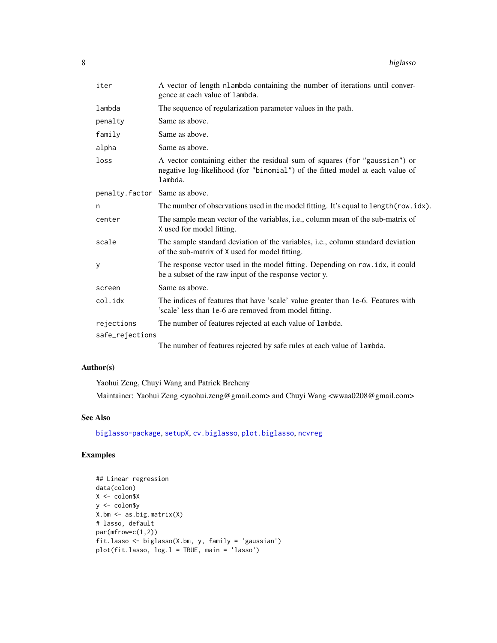<span id="page-7-0"></span>

| O<br>Ō | biglasso |
|--------|----------|
|--------|----------|

| iter                          | A vector of length nlambda containing the number of iterations until conver-<br>gence at each value of lambda.                                                         |
|-------------------------------|------------------------------------------------------------------------------------------------------------------------------------------------------------------------|
| lambda                        | The sequence of regularization parameter values in the path.                                                                                                           |
| penalty                       | Same as above.                                                                                                                                                         |
| family                        | Same as above.                                                                                                                                                         |
| alpha                         | Same as above.                                                                                                                                                         |
| loss                          | A vector containing either the residual sum of squares (for "gaussian") or<br>negative log-likelihood (for "binomial") of the fitted model at each value of<br>lambda. |
| penalty.factor Same as above. |                                                                                                                                                                        |
| n                             | The number of observations used in the model fitting. It's equal to length (row.idx).                                                                                  |
| center                        | The sample mean vector of the variables, i.e., column mean of the sub-matrix of<br>X used for model fitting.                                                           |
| scale                         | The sample standard deviation of the variables, i.e., column standard deviation<br>of the sub-matrix of X used for model fitting.                                      |
| У                             | The response vector used in the model fitting. Depending on row. idx, it could<br>be a subset of the raw input of the response vector y.                               |
| screen                        | Same as above.                                                                                                                                                         |
| col.idx                       | The indices of features that have 'scale' value greater than 1e-6. Features with<br>'scale' less than 1e-6 are removed from model fitting.                             |
| rejections                    | The number of features rejected at each value of lambda.                                                                                                               |
| safe_rejections               |                                                                                                                                                                        |
|                               | The number of features rejected by safe rules at each value of lambda.                                                                                                 |

# Author(s)

Yaohui Zeng, Chuyi Wang and Patrick Breheny Maintainer: Yaohui Zeng <yaohui.zeng@gmail.com> and Chuyi Wang <wwaa0208@gmail.com>

# See Also

[biglasso-package](#page-1-1), [setupX](#page-16-1), [cv.biglasso](#page-9-1), [plot.biglasso](#page-11-1), [ncvreg](#page-0-0)

# Examples

```
## Linear regression
data(colon)
X <- colon$X
y <- colon$y
X.bm <- as.big.matrix(X)
# lasso, default
par(mfrow=c(1,2))
fit.lasso <- biglasso(X.bm, y, family = 'gaussian')
plot(fit.lasso, log.l = TRUE, main = 'lasso')
```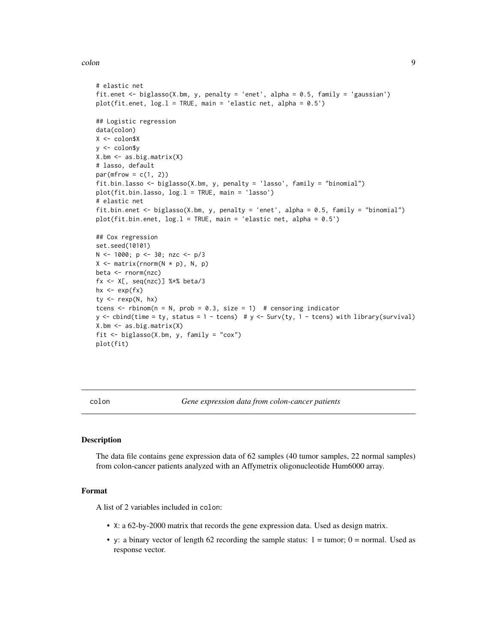#### <span id="page-8-0"></span>colon 9

```
# elastic net
fit.enet <- biglasso(X.bm, y, penalty = 'enet', alpha = 0.5, family = 'gaussian')
plot(fit.enet, log.l = TRUE, main = 'elastic net, alpha = 0.5')
## Logistic regression
data(colon)
X <- colon$X
y <- colon$y
X.bm <- as.big.matrix(X)
# lasso, default
par(mfrow = c(1, 2))fit.bin.lasso <- biglasso(X.bm, y, penalty = 'lasso', family = "binomial")
plot(fit.bin.lasso, log.l = TRUE, main = 'lasso')
# elastic net
fit.bin.enet <- biglasso(X.bm, y, penalty = 'enet', alpha = 0.5, family = "binomial")
plot(fit.bin.enet, log.l = TRUE, main = 'elastic net, alpha = 0.5')
## Cox regression
set.seed(10101)
N <- 1000; p <- 30; nzc <- p/3
X \leftarrow matrix(rnorm(N * p), N, p)beta <- rnorm(nzc)
fx <- X[, seq(nzc)] %*% beta/3
hx \leftarrow exp(fx)
ty \leq rexp(N, hx)
tcens \le rbinom(n = N, prob = 0.3, size = 1) # censoring indicator
y \leftarrow cbind(time = ty, status = 1 - tcens) # y \leftarrow Surv(ty, 1 - tcens) with library(survival)
X.bm <- as.big.matrix(X)
fit <- biglasso(X.bm, y, family = "cox")
plot(fit)
```
colon *Gene expression data from colon-cancer patients*

#### Description

The data file contains gene expression data of 62 samples (40 tumor samples, 22 normal samples) from colon-cancer patients analyzed with an Affymetrix oligonucleotide Hum6000 array.

#### Format

A list of 2 variables included in colon:

- X: a 62-by-2000 matrix that records the gene expression data. Used as design matrix.
- y: a binary vector of length 62 recording the sample status:  $1 = \text{tumor}$ ;  $0 = \text{normal}$ . Used as response vector.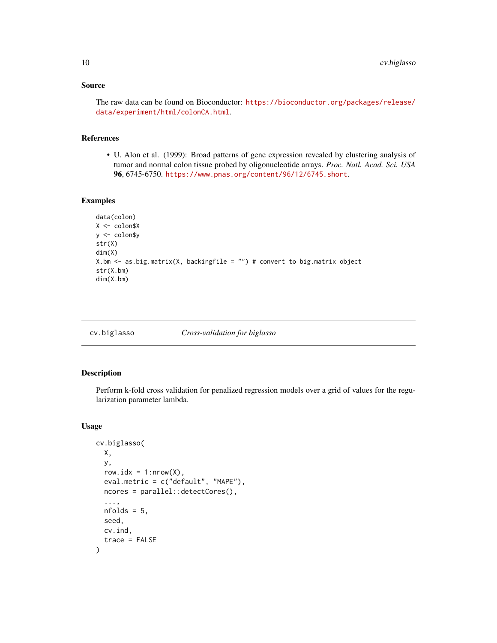# <span id="page-9-0"></span>Source

The raw data can be found on Bioconductor: [https://bioconductor.org/packages/release/](https://bioconductor.org/packages/release/data/experiment/html/colonCA.html) [data/experiment/html/colonCA.html](https://bioconductor.org/packages/release/data/experiment/html/colonCA.html).

# References

• U. Alon et al. (1999): Broad patterns of gene expression revealed by clustering analysis of tumor and normal colon tissue probed by oligonucleotide arrays. *Proc. Natl. Acad. Sci. USA* 96, 6745-6750. <https://www.pnas.org/content/96/12/6745.short>.

# Examples

```
data(colon)
X <- colon$X
y <- colon$y
str(X)
dim(X)
X.bm <- as.big.matrix(X, backingfile = "") # convert to big.matrix object
str(X.bm)
dim(X.bm)
```
<span id="page-9-1"></span>

cv.biglasso *Cross-validation for biglasso*

#### Description

Perform k-fold cross validation for penalized regression models over a grid of values for the regularization parameter lambda.

#### Usage

```
cv.biglasso(
 X,
 y,
  row.idx = 1:nrow(X),
  eval.metric = c("default", "MAPE"),
  ncores = parallel::detectCores(),
  ...,
 nfolds = 5,
  seed,
  cv.ind,
  trace = FALSE
)
```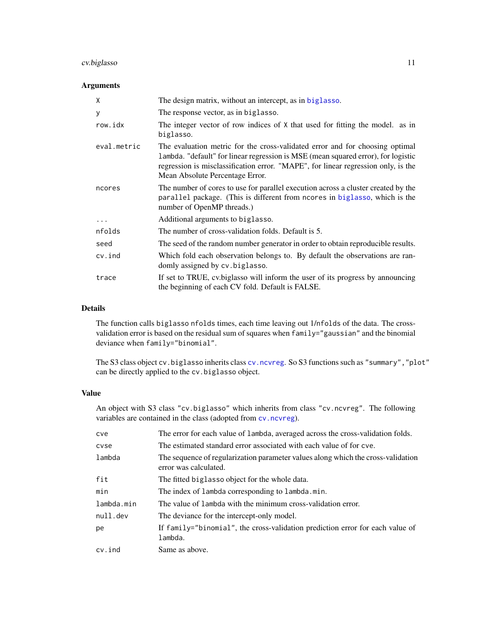# <span id="page-10-0"></span>cv.biglasso 11

# Arguments

| X           | The design matrix, without an intercept, as in biglasso.                                                                                                                                                                                                                                  |
|-------------|-------------------------------------------------------------------------------------------------------------------------------------------------------------------------------------------------------------------------------------------------------------------------------------------|
| У           | The response vector, as in biglasso.                                                                                                                                                                                                                                                      |
| row.idx     | The integer vector of row indices of X that used for fitting the model. as in<br>biglasso.                                                                                                                                                                                                |
| eval.metric | The evaluation metric for the cross-validated error and for choosing optimal<br>Lambda. "default" for linear regression is MSE (mean squared error), for logistic<br>regression is misclassification error. "MAPE", for linear regression only, is the<br>Mean Absolute Percentage Error. |
| ncores      | The number of cores to use for parallel execution across a cluster created by the<br>parallel package. (This is different from ncores in biglasso, which is the<br>number of OpenMP threads.)                                                                                             |
| $\ddotsc$   | Additional arguments to biglasso.                                                                                                                                                                                                                                                         |
| nfolds      | The number of cross-validation folds. Default is 5.                                                                                                                                                                                                                                       |
| seed        | The seed of the random number generator in order to obtain reproducible results.                                                                                                                                                                                                          |
| cv.ind      | Which fold each observation belongs to. By default the observations are ran-<br>domly assigned by cv. biglasso.                                                                                                                                                                           |
| trace       | If set to TRUE, cv. biglasso will inform the user of its progress by announcing<br>the beginning of each CV fold. Default is FALSE.                                                                                                                                                       |

# Details

The function calls biglasso nfolds times, each time leaving out 1/nfolds of the data. The crossvalidation error is based on the residual sum of squares when family="gaussian" and the binomial deviance when family="binomial".

The S3 class object cv.biglasso inherits class [cv.ncvreg](#page-0-0). So S3 functions such as "summary","plot" can be directly applied to the cv.biglasso object.

# Value

An object with S3 class "cv.biglasso" which inherits from class "cv.ncvreg". The following variables are contained in the class (adopted from [cv.ncvreg](#page-0-0)).

| cve        | The error for each value of lambda, averaged across the cross-validation folds.                           |
|------------|-----------------------------------------------------------------------------------------------------------|
| cyse       | The estimated standard error associated with each value of for cye.                                       |
| lambda     | The sequence of regularization parameter values along which the cross-validation<br>error was calculated. |
| fit        | The fitted biglasso object for the whole data.                                                            |
| min        | The index of lambda corresponding to lambda.min.                                                          |
| lambda.min | The value of lambda with the minimum cross-validation error.                                              |
| null.dev   | The deviance for the intercept-only model.                                                                |
| pe         | If family="binomial", the cross-validation prediction error for each value of<br>lambda.                  |
| cv.ind     | Same as above.                                                                                            |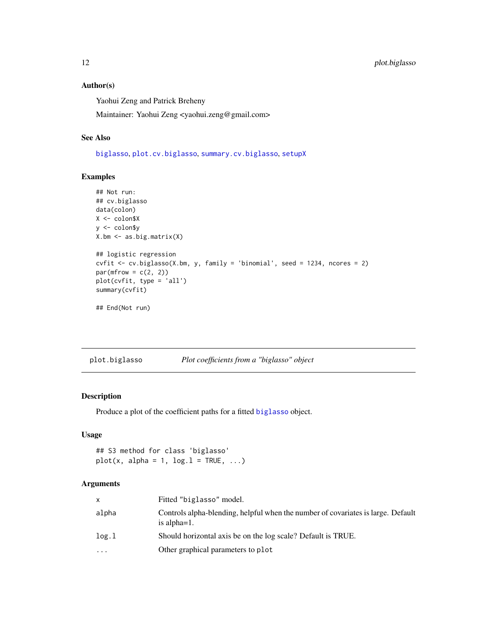# Author(s)

Yaohui Zeng and Patrick Breheny

Maintainer: Yaohui Zeng <yaohui.zeng@gmail.com>

# See Also

[biglasso](#page-4-1), [plot.cv.biglasso](#page-12-1), [summary.cv.biglasso](#page-18-1), [setupX](#page-16-1)

# Examples

```
## Not run:
## cv.biglasso
data(colon)
X <- colon$X
y <- colon$y
X.bm <- as.big.matrix(X)
## logistic regression
cvfit <- cv.biglasso(X.bm, y, family = 'binomial', seed = 1234, ncores = 2)
par(mfrow = c(2, 2))plot(cvfit, type = 'all')
summary(cvfit)
## End(Not run)
```
<span id="page-11-1"></span>plot.biglasso *Plot coefficients from a "biglasso" object*

#### Description

Produce a plot of the coefficient paths for a fitted [biglasso](#page-4-1) object.

# Usage

## S3 method for class 'biglasso'  $plot(x, alpha = 1, log.1 = TRUE, ...)$ 

#### Arguments

| x        | Fitted "biglasso" model.                                                                            |
|----------|-----------------------------------------------------------------------------------------------------|
| alpha    | Controls alpha-blending, helpful when the number of covariates is large. Default<br>is alpha $=1$ . |
| log.1    | Should horizontal axis be on the log scale? Default is TRUE.                                        |
| $\cdots$ | Other graphical parameters to plot                                                                  |

<span id="page-11-0"></span>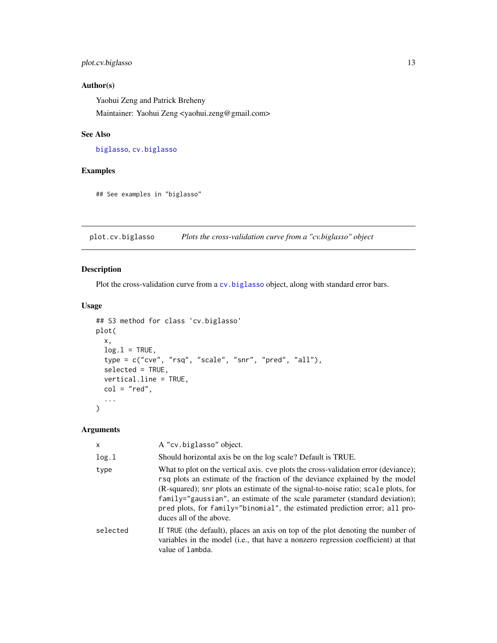# <span id="page-12-0"></span>plot.cv.biglasso 13

# Author(s)

Yaohui Zeng and Patrick Breheny

Maintainer: Yaohui Zeng <yaohui.zeng@gmail.com>

# See Also

[biglasso](#page-4-1), [cv.biglasso](#page-9-1)

# Examples

## See examples in "biglasso"

<span id="page-12-1"></span>plot.cv.biglasso *Plots the cross-validation curve from a "cv.biglasso" object*

# Description

Plot the cross-validation curve from a [cv.biglasso](#page-9-1) object, along with standard error bars.

#### Usage

```
## S3 method for class 'cv.biglasso'
plot(
 x,
 log.l = TRUE,type = c("cve", "rsq", "scale", "snr", "pred", "all"),
  selected = TRUE,
 vertical.line = TRUE,
  col = "red",...
\mathcal{L}
```
# Arguments

| $\mathsf{x}$ | A "cv.biglasso" object.                                                                                                                                                                                                                                                                                                                                                                                                                           |
|--------------|---------------------------------------------------------------------------------------------------------------------------------------------------------------------------------------------------------------------------------------------------------------------------------------------------------------------------------------------------------------------------------------------------------------------------------------------------|
| log.1        | Should horizontal axis be on the log scale? Default is TRUE.                                                                                                                                                                                                                                                                                                                                                                                      |
| type         | What to plot on the vertical axis, cve plots the cross-validation error (deviance);<br>rsq plots an estimate of the fraction of the deviance explained by the model<br>(R-squared); snr plots an estimate of the signal-to-noise ratio; scale plots, for<br>family="gaussian", an estimate of the scale parameter (standard deviation);<br>pred plots, for family="binomial", the estimated prediction error; all pro-<br>duces all of the above. |
| selected     | If TRUE (the default), places an axis on top of the plot denoting the number of<br>variables in the model (i.e., that have a nonzero regression coefficient) at that<br>value of lambda.                                                                                                                                                                                                                                                          |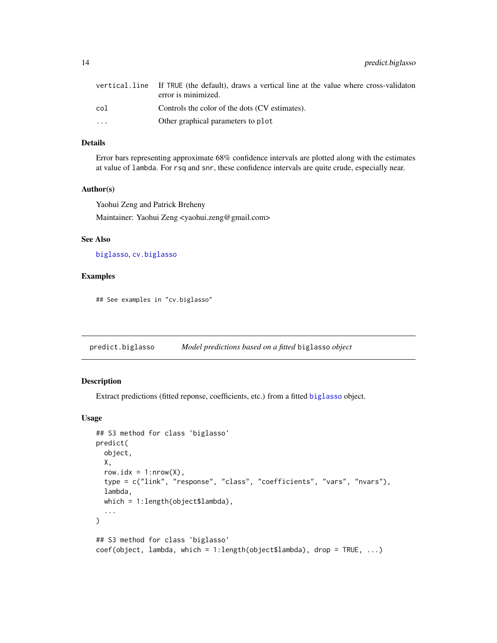<span id="page-13-0"></span>14 predict.biglasso

|                         | vertical.line If TRUE (the default), draws a vertical line at the value where cross-validaton<br>error is minimized. |
|-------------------------|----------------------------------------------------------------------------------------------------------------------|
| col                     | Controls the color of the dots (CV estimates).                                                                       |
| $\cdot$ $\cdot$ $\cdot$ | Other graphical parameters to plot                                                                                   |

# Details

Error bars representing approximate 68% confidence intervals are plotted along with the estimates at value of lambda. For rsq and snr, these confidence intervals are quite crude, especially near.

#### Author(s)

Yaohui Zeng and Patrick Breheny

Maintainer: Yaohui Zeng <yaohui.zeng@gmail.com>

# See Also

[biglasso](#page-4-1), [cv.biglasso](#page-9-1)

# Examples

## See examples in "cv.biglasso"

predict.biglasso *Model predictions based on a fitted* biglasso *object*

# Description

Extract predictions (fitted reponse, coefficients, etc.) from a fitted [biglasso](#page-4-1) object.

#### Usage

```
## S3 method for class 'biglasso'
predict(
 object,
  X,
  row.idx = 1: nrow(X),
  type = c("link", "response", "class", "coefficients", "vars", "nvars"),
  lambda,
  which = 1:length(object$lambda),
  ...
\lambda## S3 method for class 'biglasso'
coef(object, lambda, which = 1:length(object$lambda), drop = TRUE, ...)
```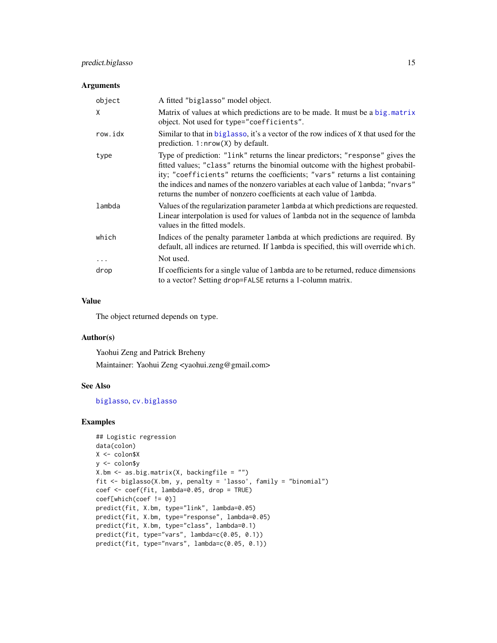# <span id="page-14-0"></span>predict.biglasso 15

#### Arguments

| object   | A fitted "biglasso" model object.                                                                                                                                                                                                                                                                                                                                                                            |
|----------|--------------------------------------------------------------------------------------------------------------------------------------------------------------------------------------------------------------------------------------------------------------------------------------------------------------------------------------------------------------------------------------------------------------|
| X        | Matrix of values at which predictions are to be made. It must be a big. matrix<br>object. Not used for type="coefficients".                                                                                                                                                                                                                                                                                  |
| row.idx  | Similar to that in biglasso, it's a vector of the row indices of X that used for the<br>prediction. 1: $nrow(X)$ by default.                                                                                                                                                                                                                                                                                 |
| type     | Type of prediction: "link" returns the linear predictors; "response" gives the<br>fitted values; "class" returns the binomial outcome with the highest probabil-<br>ity; "coefficients" returns the coefficients; "vars" returns a list containing<br>the indices and names of the nonzero variables at each value of lambda; "nvars"<br>returns the number of nonzero coefficients at each value of lambda. |
| lambda   | Values of the regularization parameter 1 ambda at which predictions are requested.<br>Linear interpolation is used for values of lambda not in the sequence of lambda<br>values in the fitted models.                                                                                                                                                                                                        |
| which    | Indices of the penalty parameter 1 ambda at which predictions are required. By<br>default, all indices are returned. If lambda is specified, this will override which.                                                                                                                                                                                                                                       |
| $\cdots$ | Not used.                                                                                                                                                                                                                                                                                                                                                                                                    |
| drop     | If coefficients for a single value of lambda are to be returned, reduce dimensions<br>to a vector? Setting drop=FALSE returns a 1-column matrix.                                                                                                                                                                                                                                                             |

# Value

The object returned depends on type.

# Author(s)

Yaohui Zeng and Patrick Breheny Maintainer: Yaohui Zeng <yaohui.zeng@gmail.com>

#### See Also

[biglasso](#page-4-1), [cv.biglasso](#page-9-1)

#### Examples

```
## Logistic regression
data(colon)
X <- colon$X
y <- colon$y
X.bm <- as.big.matrix(X, backingfile = "")
fit <- biglasso(X.bm, y, penalty = 'lasso', family = "binomial")
coef <- coef(fit, lambda=0.05, drop = TRUE)
coef[which(coef != 0)]
predict(fit, X.bm, type="link", lambda=0.05)
predict(fit, X.bm, type="response", lambda=0.05)
predict(fit, X.bm, type="class", lambda=0.1)
predict(fit, type="vars", lambda=c(0.05, 0.1))
predict(fit, type="nvars", lambda=c(0.05, 0.1))
```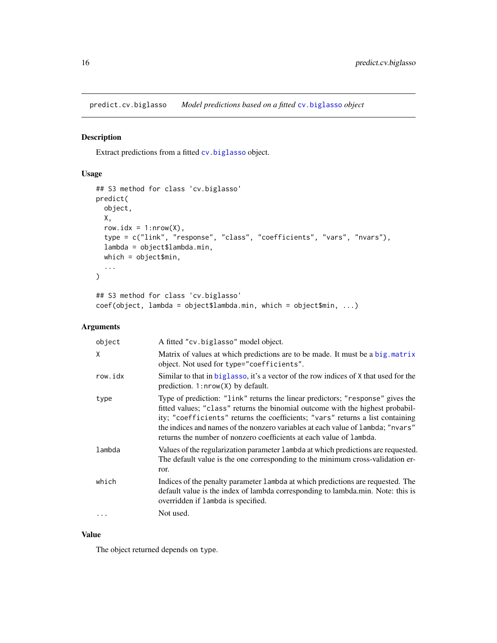<span id="page-15-0"></span>predict.cv.biglasso *Model predictions based on a fitted* [cv.biglasso](#page-9-1) *object*

#### Description

Extract predictions from a fitted [cv.biglasso](#page-9-1) object.

# Usage

```
## S3 method for class 'cv.biglasso'
predict(
 object,
 X,
  row.idx = 1: nrow(X),type = c("link", "response", "class", "coefficients", "vars", "nvars"),
  lambda = object$lambda.min,
 which = object$min,
  ...
\mathcal{L}## S3 method for class 'cv.biglasso'
coef(object, lambda = object$lambda.min, which = object$min, ...)
```
# Arguments

| object  | A fitted "cv.biglasso" model object.                                                                                                                                                                                                                                                                                                                                                                         |
|---------|--------------------------------------------------------------------------------------------------------------------------------------------------------------------------------------------------------------------------------------------------------------------------------------------------------------------------------------------------------------------------------------------------------------|
| X       | Matrix of values at which predictions are to be made. It must be a big. matrix<br>object. Not used for type="coefficients".                                                                                                                                                                                                                                                                                  |
| row.idx | Similar to that in biglasso, it's a vector of the row indices of X that used for the<br>prediction. $1: nrow(X)$ by default.                                                                                                                                                                                                                                                                                 |
| type    | Type of prediction: "link" returns the linear predictors; "response" gives the<br>fitted values; "class" returns the binomial outcome with the highest probabil-<br>ity; "coefficients" returns the coefficients; "vars" returns a list containing<br>the indices and names of the nonzero variables at each value of lambda; "nvars"<br>returns the number of nonzero coefficients at each value of lambda. |
| lambda  | Values of the regularization parameter 1 ambda at which predictions are requested.<br>The default value is the one corresponding to the minimum cross-validation er-<br>ror.                                                                                                                                                                                                                                 |
| which   | Indices of the penalty parameter 1 ambda at which predictions are requested. The<br>default value is the index of lambda corresponding to lambda.min. Note: this is<br>overridden if lambda is specified.                                                                                                                                                                                                    |
|         | Not used.                                                                                                                                                                                                                                                                                                                                                                                                    |

### Value

The object returned depends on type.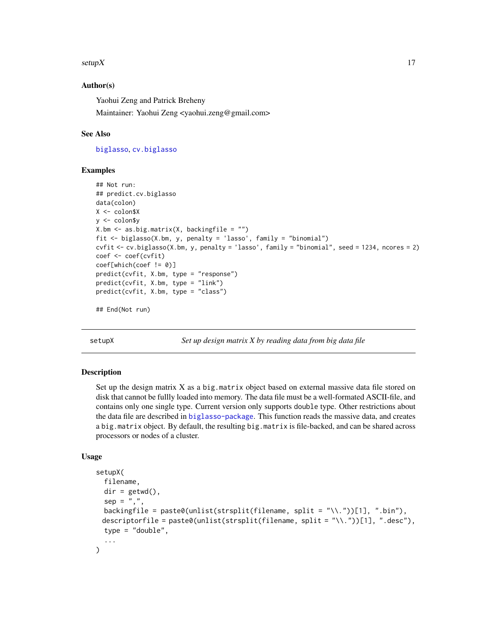#### <span id="page-16-0"></span>setup  $X$  17

## Author(s)

Yaohui Zeng and Patrick Breheny

Maintainer: Yaohui Zeng <yaohui.zeng@gmail.com>

#### See Also

[biglasso](#page-4-1), [cv.biglasso](#page-9-1)

#### Examples

```
## Not run:
## predict.cv.biglasso
data(colon)
X <- colon$X
y <- colon$y
X.bm \leftarrow as.big_matrix(X, backingfile = "")fit <- biglasso(X.bm, y, penalty = 'lasso', family = "binomial")
cvfit <- cv.biglasso(X.bm, y, penalty = 'lasso', family = "binomial", seed = 1234, ncores = 2)
coef <- coef(cvfit)
coef[which(coef != 0)]
predict(cvfit, X.bm, type = "response")
predict(cvfit, X.bm, type = "link")
predict(cvfit, X.bm, type = "class")
```
## End(Not run)

<span id="page-16-1"></span>setupX *Set up design matrix X by reading data from big data file*

#### Description

Set up the design matrix  $X$  as a big.matrix object based on external massive data file stored on disk that cannot be fullly loaded into memory. The data file must be a well-formated ASCII-file, and contains only one single type. Current version only supports double type. Other restrictions about the data file are described in [biglasso-package](#page-1-1). This function reads the massive data, and creates a big.matrix object. By default, the resulting big.matrix is file-backed, and can be shared across processors or nodes of a cluster.

#### Usage

```
setupX(
  filename,
  dir = getwd(),
  sep = ".".
 backingfile = paste0(unlist(strsplit(filename, split = "\\."))[1], ".bin"),
 descriptorfile = paste0(unlist(strsplit(filename, split = "\\."))[1], ".desc"),
  type = "double",...
)
```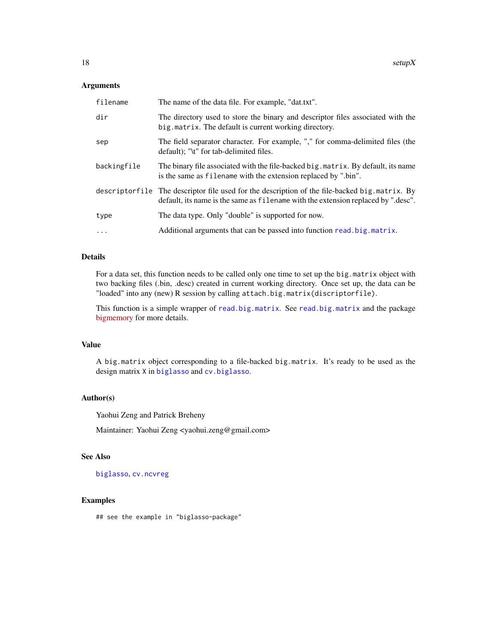#### <span id="page-17-0"></span>Arguments

| filename    | The name of the data file. For example, "dat.txt".                                                                                                                                 |
|-------------|------------------------------------------------------------------------------------------------------------------------------------------------------------------------------------|
| dir         | The directory used to store the binary and descriptor files associated with the<br>big. matrix. The default is current working directory.                                          |
| sep         | The field separator character. For example, "," for comma-delimited files (the<br>default); "\t" for tab-delimited files.                                                          |
| backingfile | The binary file associated with the file-backed big. matrix. By default, its name<br>is the same as filename with the extension replaced by ".bin".                                |
|             | descriptorfile The descriptor file used for the description of the file-backed big matrix. By<br>default, its name is the same as filename with the extension replaced by ".desc". |
| type        | The data type. Only "double" is supported for now.                                                                                                                                 |
| $\cdots$    | Additional arguments that can be passed into function read. big. matrix.                                                                                                           |

# Details

For a data set, this function needs to be called only one time to set up the big.matrix object with two backing files (.bin, .desc) created in current working directory. Once set up, the data can be "loaded" into any (new) R session by calling attach.big.matrix(discriptorfile).

This function is a simple wrapper of [read.big.matrix](#page-0-0). See [read.big.matrix](#page-0-0) and the package [bigmemory](https://CRAN.R-project.org/package=bigmemory) for more details.

## Value

A big.matrix object corresponding to a file-backed big.matrix. It's ready to be used as the design matrix X in [biglasso](#page-4-1) and [cv.biglasso](#page-9-1).

# Author(s)

Yaohui Zeng and Patrick Breheny

Maintainer: Yaohui Zeng <yaohui.zeng@gmail.com>

#### See Also

#### [biglasso](#page-4-1), [cv.ncvreg](#page-0-0)

# Examples

## see the example in "biglasso-package"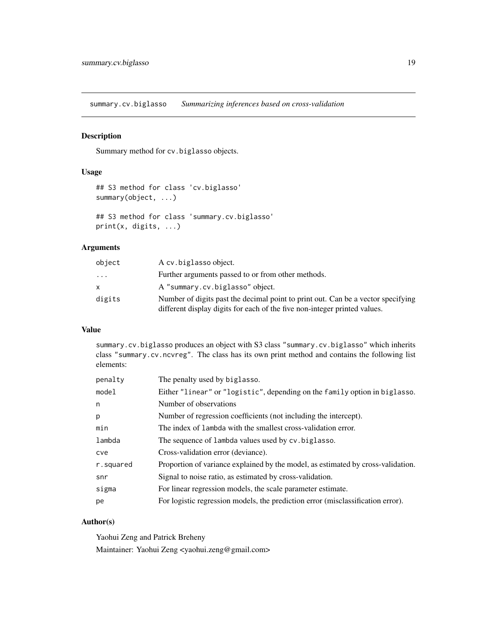<span id="page-18-1"></span><span id="page-18-0"></span>summary.cv.biglasso *Summarizing inferences based on cross-validation*

# Description

Summary method for cv.biglasso objects.

#### Usage

```
## S3 method for class 'cv.biglasso'
summary(object, ...)
## S3 method for class 'summary.cv.biglasso'
print(x, digits, ...)
```
# Arguments

| object   | A cv. biglasso object.                                                                                                                                        |
|----------|---------------------------------------------------------------------------------------------------------------------------------------------------------------|
| $\cdots$ | Further arguments passed to or from other methods.                                                                                                            |
| X.       | A "summary.cv.biglasso" object.                                                                                                                               |
| digits   | Number of digits past the decimal point to print out. Can be a vector specifying<br>different display digits for each of the five non-integer printed values. |

#### Value

summary.cv.biglasso produces an object with S3 class "summary.cv.biglasso" which inherits class "summary.cv.ncvreg". The class has its own print method and contains the following list elements:

| penalty   | The penalty used by biglasso.                                                    |
|-----------|----------------------------------------------------------------------------------|
| model     | Either "linear" or "logistic", depending on the family option in biglasso.       |
| n         | Number of observations                                                           |
| р         | Number of regression coefficients (not including the intercept).                 |
| min       | The index of lambda with the smallest cross-validation error.                    |
| lambda    | The sequence of lambda values used by cv. biglasso.                              |
| cve       | Cross-validation error (deviance).                                               |
| r.squared | Proportion of variance explained by the model, as estimated by cross-validation. |
| snr       | Signal to noise ratio, as estimated by cross-validation.                         |
| sigma     | For linear regression models, the scale parameter estimate.                      |
| pe        | For logistic regression models, the prediction error (misclassification error).  |

# Author(s)

Yaohui Zeng and Patrick Breheny Maintainer: Yaohui Zeng <yaohui.zeng@gmail.com>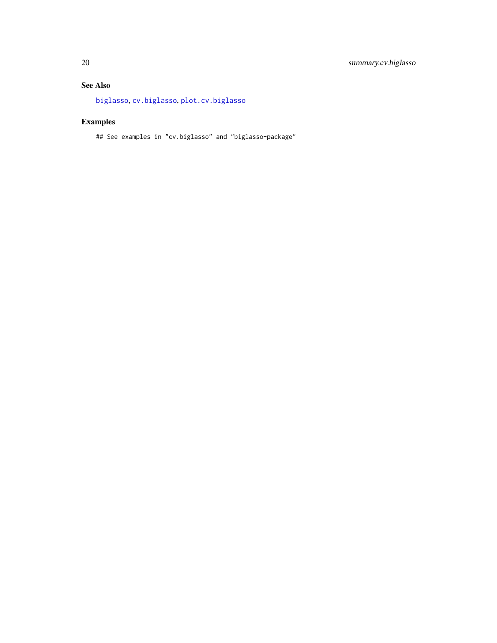# <span id="page-19-0"></span>See Also

[biglasso](#page-4-1), [cv.biglasso](#page-9-1), [plot.cv.biglasso](#page-12-1)

# Examples

## See examples in "cv.biglasso" and "biglasso-package"